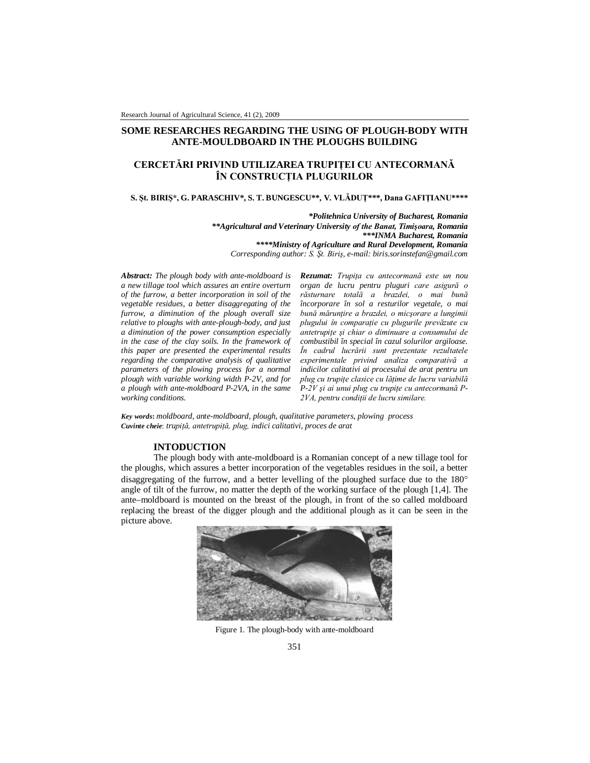# **SOME RESEARCHES REGARDING THE USING OF PLOUGH-BODY WITH ANTE-MOULDBOARD IN THE PLOUGHS BUILDING**

# **CERCETĂRI PRIVIND UTILIZAREA TRUPIŢEI CU ANTECORMANĂ ÎN CONSTRUCŢIA PLUGURILOR**

#### **S. Şt. BIRIŞ\*, G. PARASCHIV\*, S. T. BUNGESCU\*\*, V. VLĂDUŢ\*\*\*, Dana GAFIŢIANU\*\*\*\***

*\*Politehnica University of Bucharest, Romania \*\*Agricultural and Veterinary University of the Banat, Timişoara, Romania \*\*\*INMA Bucharest, Romania \*\*\*\*Ministry of Agriculture and Rural Development, Romania Corresponding author: S. Şt. Biriş, e-mail: biris.sorinstefan@gmail.com*

*Abstract: The plough body with ante-moldboard is a new tillage tool which assures an entire overturn of the furrow, a better incorporation in soil of the vegetable residues, a better disaggregating of the furrow, a diminution of the plough overall size relative to ploughs with ante-plough-body, and just a diminution of the power consumption especially in the case of the clay soils. In the framework of this paper are presented the experimental results regarding the comparative analysis of qualitative parameters of the plowing process for a normal plough with variable working width P-2V, and for a plough with ante-moldboard P-2VA, in the same working conditions.*

*Rezumat: Trupiţa cu antecormană este un nou organ de lucru pentru pluguri care asigură o răsturnare totală a brazdei, o mai bună încorporare în sol a resturilor vegetale, o mai bună mărunţire a brazdei, o micşorare a lungimii plugului în comparaţie cu plugurile prevăzute cu antetrupiţe şi chiar o diminuare a consumului de combustibil în special în cazul solurilor argiloase. În cadrul lucrării sunt prezentate rezultatele experimentale privind analiza comparativă a indicilor calitativi ai procesului de arat pentru un plug cu trupiţe clasice cu lăţime de lucru variabilă P-2V şi ai unui plug cu trupiţe cu antecormană P-2VA, pentru condiţii de lucru similare.*

*Key words***:** *moldboard, ante-moldboard, plough, qualitative parameters, plowing process Cuvinte cheie*: *trupiţă, antetrupiţă, plug, indici calitativi, proces de arat*

## **INTODUCTION**

The plough body with ante-moldboard is a Romanian concept of a new tillage tool for the ploughs, which assures a better incorporation of the vegetables residues in the soil, a better disaggregating of the furrow, and a better levelling of the ploughed surface due to the 180<sup>o</sup> angle of tilt of the furrow, no matter the depth of the working surface of the plough [1,4]. The ante–moldboard is mounted on the breast of the plough, in front of the so called moldboard replacing the breast of the digger plough and the additional plough as it can be seen in the picture above.



Figure 1. The plough-body with ante-moldboard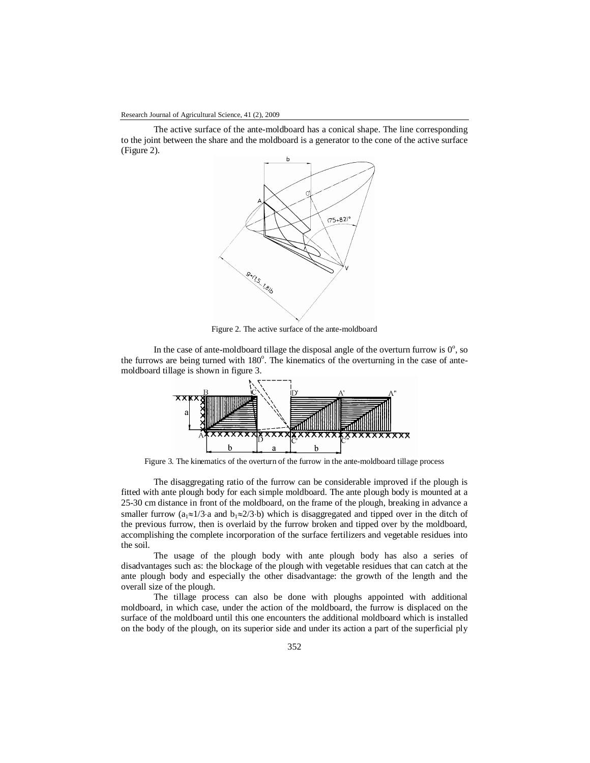The active surface of the ante-moldboard has a conical shape. The line corresponding to the joint between the share and the moldboard is a generator to the cone of the active surface (Figure 2).



Figure 2. The active surface of the ante-moldboard

In the case of ante-moldboard tillage the disposal angle of the overturn furrow is  $0^\circ$ , so the furrows are being turned with 180°. The kinematics of the overturning in the case of antemoldboard tillage is shown in figure 3.



Figure 3. The kinematics of the overturn of the furrow in the ante-moldboard tillage process

The disaggregating ratio of the furrow can be considerable improved if the plough is fitted with ante plough body for each simple moldboard. The ante plough body is mounted at a 25-30 cm distance in front of the moldboard, on the frame of the plough, breaking in advance a smaller furrow ( $a_1 \approx 1/3$  a and  $b_1 \approx 2/3$  b) which is disaggregated and tipped over in the ditch of the previous furrow, then is overlaid by the furrow broken and tipped over by the moldboard, accomplishing the complete incorporation of the surface fertilizers and vegetable residues into the soil.

The usage of the plough body with ante plough body has also a series of disadvantages such as: the blockage of the plough with vegetable residues that can catch at the ante plough body and especially the other disadvantage: the growth of the length and the overall size of the plough.

The tillage process can also be done with ploughs appointed with additional moldboard, in which case, under the action of the moldboard, the furrow is displaced on the surface of the moldboard until this one encounters the additional moldboard which is installed on the body of the plough, on its superior side and under its action a part of the superficial ply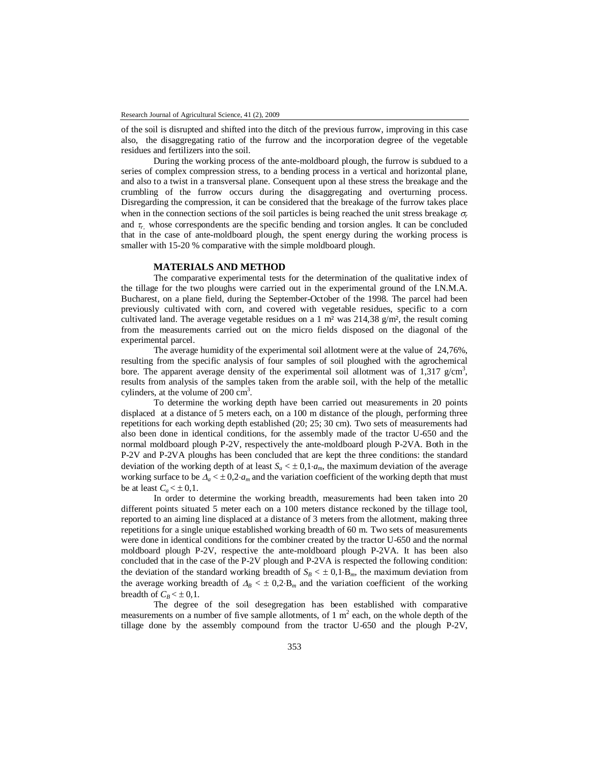of the soil is disrupted and shifted into the ditch of the previous furrow, improving in this case also, the disaggregating ratio of the furrow and the incorporation degree of the vegetable residues and fertilizers into the soil.

During the working process of the ante-moldboard plough, the furrow is subdued to a series of complex compression stress, to a bending process in a vertical and horizontal plane, and also to a twist in a transversal plane. Consequent upon al these stress the breakage and the crumbling of the furrow occurs during the disaggregating and overturning process. Disregarding the compression, it can be considered that the breakage of the furrow takes place when in the connection sections of the soil particles is being reached the unit stress breakage  $\sigma_r$ and  $\tau_r$  whose correspondents are the specific bending and torsion angles. It can be concluded that in the case of ante-moldboard plough, the spent energy during the working process is smaller with 15-20 % comparative with the simple moldboard plough.

## **MATERIALS AND METHOD**

The comparative experimental tests for the determination of the qualitative index of the tillage for the two ploughs were carried out in the experimental ground of the I.N.M.A. Bucharest, on a plane field, during the September-October of the 1998. The parcel had been previously cultivated with corn, and covered with vegetable residues, specific to a corn cultivated land. The average vegetable residues on a 1 m<sup>2</sup> was  $214,38$  g/m<sup>2</sup>, the result coming from the measurements carried out on the micro fields disposed on the diagonal of the experimental parcel.

The average humidity of the experimental soil allotment were at the value of 24,76%, resulting from the specific analysis of four samples of soil ploughed with the agrochemical bore. The apparent average density of the experimental soil allotment was of  $1,317$  g/cm<sup>3</sup>, results from analysis of the samples taken from the arable soil, with the help of the metallic cylinders, at the volume of  $200 \text{ cm}^3$ .

To determine the working depth have been carried out measurements in 20 points displaced at a distance of 5 meters each, on a 100 m distance of the plough, performing three repetitions for each working depth established (20; 25; 30 cm). Two sets of measurements had also been done in identical conditions, for the assembly made of the tractor U-650 and the normal moldboard plough P-2V, respectively the ante-moldboard plough P-2VA. Both in the P-2V and P-2VA ploughs has been concluded that are kept the three conditions: the standard deviation of the working depth of at least  $S_a \leq \pm 0.1 \cdot a_m$ , the maximum deviation of the average working surface to be  $\Delta_a < \pm 0.2 a_m$  and the variation coefficient of the working depth that must be at least  $C_a < \pm 0.1$ .

In order to determine the working breadth, measurements had been taken into 20 different points situated 5 meter each on a 100 meters distance reckoned by the tillage tool, reported to an aiming line displaced at a distance of 3 meters from the allotment, making three repetitions for a single unique established working breadth of 60 m. Two sets of measurements were done in identical conditions for the combiner created by the tractor U-650 and the normal moldboard plough P-2V, respective the ante-moldboard plough P-2VA. It has been also concluded that in the case of the P-2V plough and P-2VA is respected the following condition: the deviation of the standard working breadth of  $S_B < \pm 0.1$ ·B<sub>*m*</sub>, the maximum deviation from the average working breadth of  $\Delta_B < \pm 0.2$ ·B<sub>*m*</sub> and the variation coefficient of the working breadth of  $C_R < \pm 0.1$ .

The degree of the soil desegregation has been established with comparative measurements on a number of five sample allotments, of 1  $m<sup>2</sup>$  each, on the whole depth of the tillage done by the assembly compound from the tractor U-650 and the plough P-2V,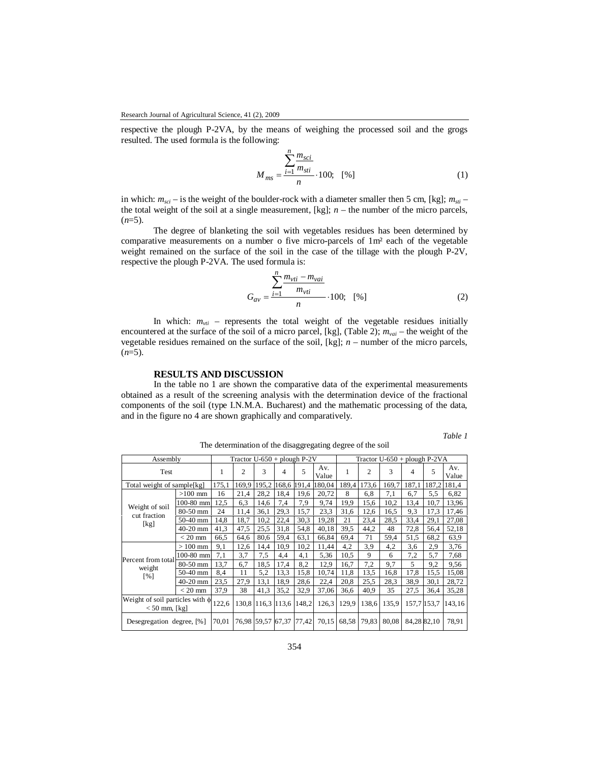respective the plough P-2VA, by the means of weighing the processed soil and the grogs resulted. The used formula is the following:

$$
M_{ms} = \frac{\sum_{i=1}^{n} \frac{m_{sci}}{m_{sti}}}{n} \cdot 100; \quad [%]
$$
 (1)

in which:  $m_{sci}$  – is the weight of the boulder-rock with a diameter smaller then 5 cm, [kg];  $m_{sti}$  – the total weight of the soil at a single measurement,  $[kg]$ ;  $n -$  the number of the micro parcels,  $(n=5)$ .

The degree of blanketing the soil with vegetables residues has been determined by comparative measurements on a number o five micro-parcels of 1m² each of the vegetable weight remained on the surface of the soil in the case of the tillage with the plough P-2V, respective the plough P-2VA. The used formula is:

$$
G_{av} = \frac{\sum_{i=1}^{n} \frac{m_{vti} - m_{vai}}{m_{vti}}}{n} \cdot 100; \quad [%]
$$
 (2)

In which:  $m_{vti}$  – represents the total weight of the vegetable residues initially encountered at the surface of the soil of a micro parcel, [kg], (Table 2); *mvai* – the weight of the vegetable residues remained on the surface of the soil, [kg]; *n –* number of the micro parcels,  $(n=5)$ .

## **RESULTS AND DISCUSSION**

In the table no 1 are shown the comparative data of the experimental measurements obtained as a result of the screening analysis with the determination device of the fractional components of the soil (type I.N.M.A. Bucharest) and the mathematic processing of the data, and in the figure no 4 are shown graphically and comparatively.

*Table 1*

|          | The determination of the disaggregating degree of the soil |            |                |                                |                   |                   |              |        |                |                                 |       |             |              |             |
|----------|------------------------------------------------------------|------------|----------------|--------------------------------|-------------------|-------------------|--------------|--------|----------------|---------------------------------|-------|-------------|--------------|-------------|
| Assembly |                                                            |            |                | Tractor $U$ -650 + plough P-2V |                   |                   |              |        |                | Tractor $U$ -650 + plough P-2VA |       |             |              |             |
| Test     |                                                            | 1          | $\overline{c}$ | 3                              | 4                 | 5                 | Av.<br>Value | 1      | $\overline{c}$ | 3                               | 4     | 5           | Av.<br>Value |             |
|          | Total weight of sample[kg]                                 |            | 175,1          | 169,9                          |                   | 195,2 168,6 191,4 |              | 180,04 | 189,4          | 173,6                           | 169,7 | 187,1       |              | 187,2 181,4 |
|          | Weight of soil<br>cut fraction<br>[kg]                     | $>100$ mm  | 16             | 21,4                           | 28,2              | 18.4              | 19,6         | 20,72  | 8              | 6,8                             | 7,1   | 6,7         | 5,5          | 6,82        |
|          |                                                            | 100-80 mm  | 12,5           | 6,3                            | 14,6              | 7,4               | 7,9          | 9,74   | 19,9           | 15,6                            | 10,2  | 13,4        | 10,7         | 13,96       |
|          |                                                            | 80-50 mm   | 24             | 11,4                           | 36,1              | 29.3              | 15,7         | 23,3   | 31,6           | 12,6                            | 16.5  | 9,3         | 17,3         | 17,46       |
|          |                                                            | $50-40$ mm | 14,8           | 18,7                           | 10,2              | 22,4              | 30,3         | 19,28  | 21             | 23,4                            | 28.5  | 33,4        | 29,1         | 27,08       |
|          |                                                            | $40-20$ mm | 41,3           | 47,5                           | 25.5              | 31,8              | 54,8         | 40,18  | 39.5           | 44,2                            | 48    | 72,8        | 56,4         | 52,18       |
|          |                                                            | $<$ 20 mm  | 66,5           | 64,6                           | 80,6              | 59.4              | 63,1         | 66,84  | 69,4           | 71                              | 59,4  | 51.5        | 68,2         | 63,9        |
|          | Percent from total<br>weight<br>[%]                        | $>100$ mm  | 9,1            | 12,6                           | 14,4              | 10,9              | 10,2         | 11,44  | 4,2            | 3.9                             | 4,2   | 3,6         | 2,9          | 3,76        |
|          |                                                            | 100-80 mm  | 7,1            | 3,7                            | 7,5               | 4,4               | 4,1          | 5,36   | 10.5           | 9                               | 6     | 7,2         | 5,7          | 7,68        |
|          |                                                            | $80-50$ mm | 13,7           | 6,7                            | 18.5              | 17,4              | 8,2          | 12,9   | 16,7           | 7,2                             | 9,7   | 5           | 9,2          | 9,56        |
|          |                                                            | 50-40 mm   | 8,4            | 11                             | 5,2               | 13.3              | 15,8         | 10,74  | 11,8           | 13,5                            | 16.8  | 17.8        | 15,5         | 15,08       |
|          |                                                            | $40-20$ mm | 23,5           | 27,9                           | 13,1              | 18,9              | 28,6         | 22,4   | 20,8           | 25.5                            | 28,3  | 38.9        | 30,1         | 28,72       |
|          |                                                            | $<$ 20 mm  | 37,9           | 38                             | 41,3              | 35,2              | 32.9         | 37,06  | 36,6           | 40,9                            | 35    | 27,5        | 36,4         | 35,28       |
|          | Weight of soil particles with $\phi$<br>$< 50$ mm, [kg]    |            | 122,6          |                                | 130,8 116,3 113,6 |                   | 148.2        | 126,3  | 129,9          | 138,6                           | 135,9 | 157,7 153,7 |              | 143,16      |
|          | Desegregation degree, [%]                                  |            | 70,01          |                                | 76,98 59,57 67,37 |                   | 77,42        | 70,15  | 68,58          | 79,83                           | 80,08 | 84,2882,10  |              | 78,91       |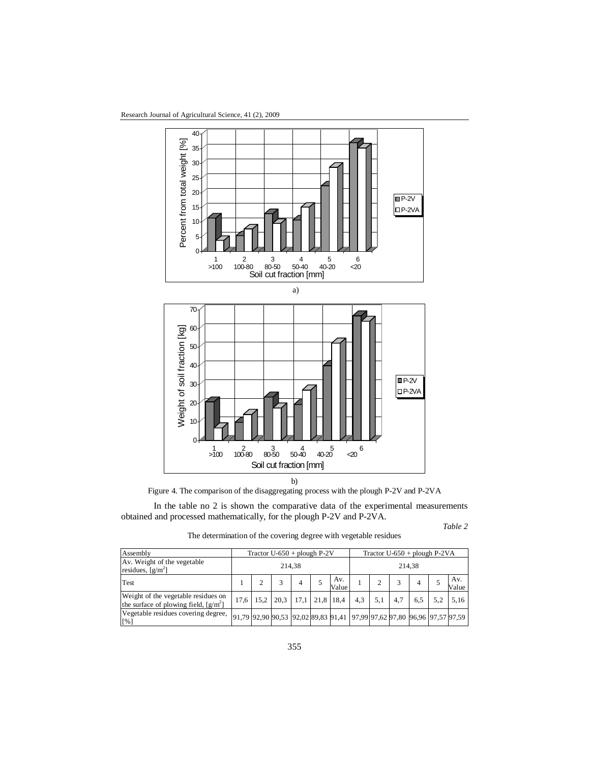Research Journal of Agricultural Science, 41 (2), 2009



Figure 4. The comparison of the disaggregating process with the plough P-2V and P-2VA

In the table no 2 is shown the comparative data of the experimental measurements obtained and processed mathematically, for the plough P-2V and P-2VA.

*Table 2*

Assembly Tractor U-650 + plough P-2V Tractor U-650 + plough P-2VA Av. Weight of the vegetable residues,  $[g/m^2]$ 214,38 214,38 Test  $1 \t 2 \t 3 \t 4 \t 5$ Av. Av.  $\begin{array}{|c|c|c|c|c|c|} \hline \text{Av.} & 1 & 2 & 3 & 4 & 5 \\ \hline \end{array}$ Av. Value Weight of the vegetable residues on the surface of plowing field,  $[g/m^2]$ 17,6 | 15,2 | 20,3 | 17,1 | 21,8 | 18,4 | 4,3 | 5,1 | 4,7 | 6,5 | 5,2 | 5,16 Vegetable residues covering degree, [%] 91,79 92,90 90,53 92,02 89,83 91,41 97,99 97,62 97,80 96,96 97,57 97,59

| The determination of the covering degree with vegetable residues |  |  |
|------------------------------------------------------------------|--|--|